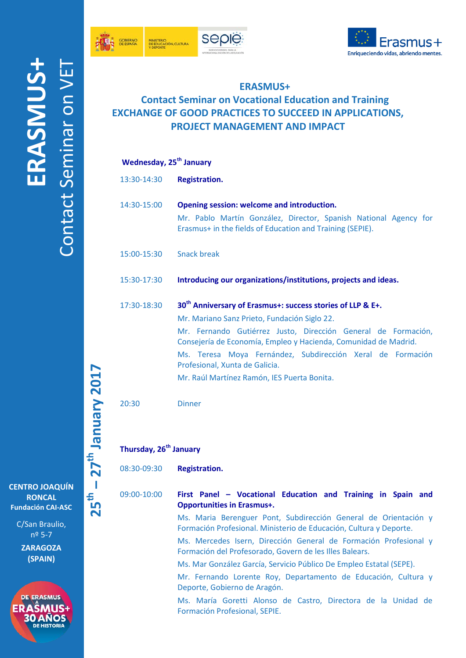





## **ERASMUS+**

## **Contact Seminar on Vocational Education and Training EXCHANGE OF GOOD PRACTICES TO SUCCEED IN APPLICATIONS, PROJECT MANAGEMENT AND IMPACT**

## **Wednesday, 25th January**

13:30-14:30 **Registration.** 14:30-15:00 **Opening session: welcome and introduction.** Mr. Pablo Martín González, Director, Spanish National Agency for Erasmus+ in the fields of Education and Training (SEPIE). 15:00-15:30 Snack break 15:30-17:30 **Introducing our organizations/institutions, projects and ideas.** 17:30-18:30 **30th Anniversary of Erasmus+: success stories of LLP & E+.** Mr. Mariano Sanz Prieto, Fundación Siglo 22. Mr. Fernando Gutiérrez Justo, Dirección General de Formación, Consejería de Economía, Empleo y Hacienda, Comunidad de Madrid. Ms. Teresa Moya Fernández, Subdirección Xeral de Formación Profesional, Xunta de Galicia. Mr. Raúl Martínez Ramón, IES Puerta Bonita.

20:30 Dinner

**Thursday, 26th January**

08:30-09:30 **Registration.**

09:00-10:00 **First Panel – Vocational Education and Training in Spain and Opportunities in Erasmus+.**

> Ms. Maria Berenguer Pont, Subdirección General de Orientación y Formación Profesional. Ministerio de Educación, Cultura y Deporte.

> Ms. Mercedes Isern, Dirección General de Formación Profesional y Formación del Profesorado, Govern de les Illes Balears.

Ms. Mar González García, Servicio Público De Empleo Estatal (SEPE).

Mr. Fernando Lorente Roy, Departamento de Educación, Cultura y Deporte, Gobierno de Aragón.

Ms. María Goretti Alonso de Castro, Directora de la Unidad de Formación Profesional, SEPIE.

**CENTRO JOAQUÍN RONCAL Fundación CAI-ASC**

**25th**

 $\overline{\phantom{a}}$ 

**– 27th January 201**

**7**

C/San Braulio, nº 5-7

**ZARAGOZA (SPAIN)**

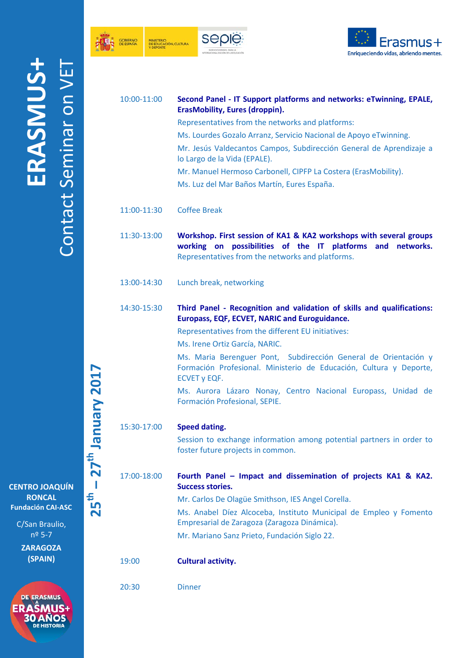





|                    | 10:00-11:00 | Second Panel - IT Support platforms and networks: eTwinning, EPALE,<br><b>ErasMobility, Eures (droppin).</b><br>Representatives from the networks and platforms:<br>Ms. Lourdes Gozalo Arranz, Servicio Nacional de Apoyo eTwinning.<br>Mr. Jesús Valdecantos Campos, Subdirección General de Aprendizaje a<br>lo Largo de la Vida (EPALE).<br>Mr. Manuel Hermoso Carbonell, CIPFP La Costera (ErasMobility).<br>Ms. Luz del Mar Baños Martín, Eures España.                     |
|--------------------|-------------|----------------------------------------------------------------------------------------------------------------------------------------------------------------------------------------------------------------------------------------------------------------------------------------------------------------------------------------------------------------------------------------------------------------------------------------------------------------------------------|
|                    | 11:00-11:30 | <b>Coffee Break</b>                                                                                                                                                                                                                                                                                                                                                                                                                                                              |
|                    | 11:30-13:00 | Workshop. First session of KA1 & KA2 workshops with several groups<br>working on possibilities of the IT platforms and networks.<br>Representatives from the networks and platforms.                                                                                                                                                                                                                                                                                             |
|                    | 13:00-14:30 | Lunch break, networking                                                                                                                                                                                                                                                                                                                                                                                                                                                          |
| <b>THOM KINNIS</b> | 14:30-15:30 | Third Panel - Recognition and validation of skills and qualifications:<br>Europass, EQF, ECVET, NARIC and Euroguidance.<br>Representatives from the different EU initiatives:<br>Ms. Irene Ortiz García, NARIC.<br>Ms. Maria Berenguer Pont, Subdirección General de Orientación y<br>Formación Profesional. Ministerio de Educación, Cultura y Deporte,<br><b>ECVET y EQF.</b><br>Ms. Aurora Lázaro Nonay, Centro Nacional Europass, Unidad de<br>Formación Profesional, SEPIE. |
|                    | 15:30-17:00 | Speed dating.<br>Session to exchange information among potential partners in order to<br>foster future projects in common.                                                                                                                                                                                                                                                                                                                                                       |
| J                  | 17:00-18:00 | Fourth Panel - Impact and dissemination of projects KA1 & KA2.<br><b>Success stories.</b><br>Mr. Carlos De Olagüe Smithson, IES Angel Corella.<br>Ms. Anabel Díez Alcoceba, Instituto Municipal de Empleo y Fomento<br>Empresarial de Zaragoza (Zaragoza Dinámica).<br>Mr. Mariano Sanz Prieto, Fundación Siglo 22.                                                                                                                                                              |
|                    | 19:00       | <b>Cultural activity.</b>                                                                                                                                                                                                                                                                                                                                                                                                                                                        |
|                    | 20:30       | <b>Dinner</b>                                                                                                                                                                                                                                                                                                                                                                                                                                                                    |
|                    |             |                                                                                                                                                                                                                                                                                                                                                                                                                                                                                  |

**25th – 27th January 201 7<sup>th</sup>** Ianuary 7017

**CENTRO JOAQUÍN RONCAL Fundación CAI-ASC**

> C/San Braulio, nº 5-7

**ZARAGOZA (SPAIN)**